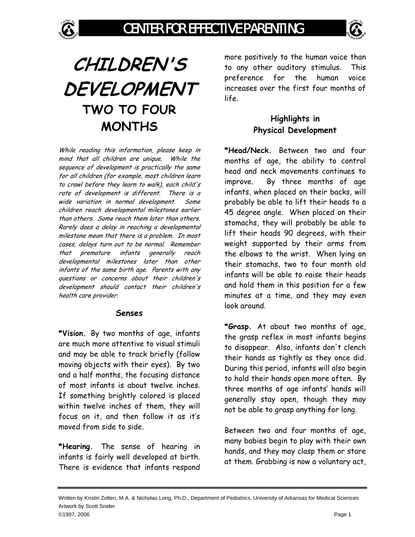

# **CHILDREN'S DEVELOPMENT TWO TO FOUR MONTHS**

While reading this information, please keep in mind that all children are unique. While the sequence of development is practically the same for all children (for example, most children learn to crawl before they learn to walk), each child's rate of development is different. There is a wide variation in normal development. Some children reach developmental milestones earlier than others. Some reach them later than others. Rarely does a delay in reaching a developmental milestone mean that there is a problem. In most cases, delays turn out to be normal. Remember that premature infants generally reach developmental milestones later than other infants of the same birth age. Parents with any questions or concerns about their children's development should contact their children's health care provider.

#### **Senses**

**\*Vision.** By two months of age, infants are much more attentive to visual stimuli and may be able to track briefly (follow moving objects with their eyes). By two and a half months, the focusing distance of most infants is about twelve inches. If something brightly colored is placed within twelve inches of them, they will focus on it, and then follow it as it's moved from side to side.

**\*Hearing.** The sense of hearing in infants is fairly well developed at birth. There is evidence that infants respond

more positively to the human voice than to any other auditory stimulus. This preference for the human voice increases over the first four months of life.

### **Highlights in Physical Development**

**\*Head/Neck.** Between two and four months of age, the ability to control head and neck movements continues to improve. By three months of age infants, when placed on their backs, will probably be able to lift their heads to a 45 degree angle. When placed on their stomachs, they will probably be able to lift their heads 90 degrees, with their weight supported by their arms from the elbows to the wrist. When lying on their stomachs, two to four month old infants will be able to raise their heads and hold them in this position for a few minutes at a time, and they may even look around.

**\*Grasp.** At about two months of age, the grasp reflex in most infants begins to disappear. Also, infants don't clench their hands as tightly as they once did. During this period, infants will also begin to hold their hands open more often. By three months of age infants' hands will generally stay open, though they may not be able to grasp anything for long.

Between two and four months of age, many babies begin to play with their own hands, and they may clasp them or stare at them. Grabbing is now a voluntary act,